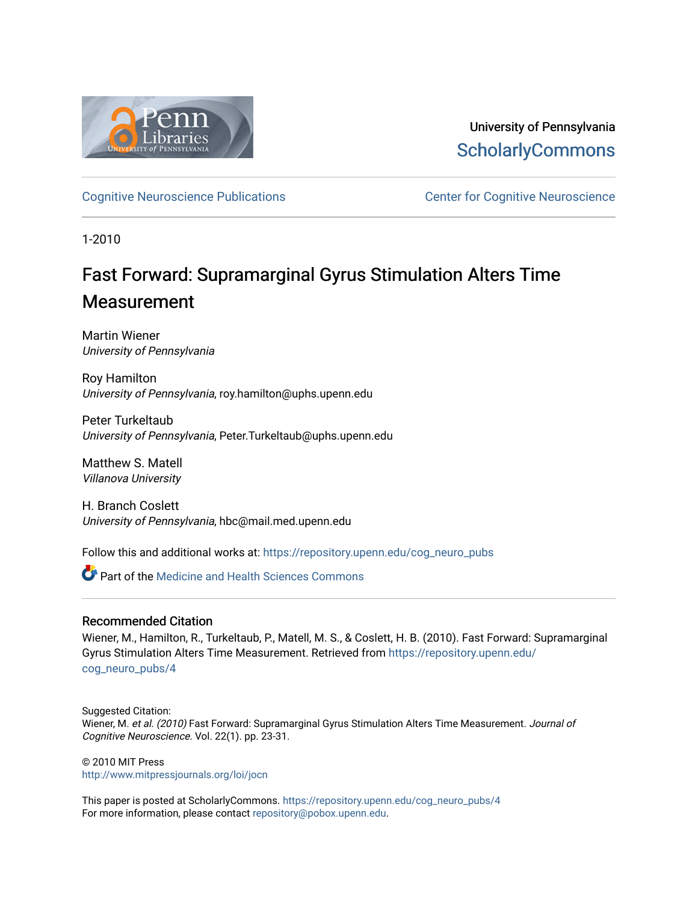

University of Pennsylvania **ScholarlyCommons** 

[Cognitive Neuroscience Publications](https://repository.upenn.edu/cog_neuro_pubs) **CENTE:** Center for Cognitive Neuroscience

1-2010

# Fast Forward: Supramarginal Gyrus Stimulation Alters Time Measurement

Martin Wiener University of Pennsylvania

Roy Hamilton University of Pennsylvania, roy.hamilton@uphs.upenn.edu

Peter Turkeltaub University of Pennsylvania, Peter.Turkeltaub@uphs.upenn.edu

Matthew S. Matell Villanova University

H. Branch Coslett University of Pennsylvania, hbc@mail.med.upenn.edu

Follow this and additional works at: [https://repository.upenn.edu/cog\\_neuro\\_pubs](https://repository.upenn.edu/cog_neuro_pubs?utm_source=repository.upenn.edu%2Fcog_neuro_pubs%2F4&utm_medium=PDF&utm_campaign=PDFCoverPages)

**C** Part of the Medicine and Health Sciences Commons

### Recommended Citation

Wiener, M., Hamilton, R., Turkeltaub, P., Matell, M. S., & Coslett, H. B. (2010). Fast Forward: Supramarginal Gyrus Stimulation Alters Time Measurement. Retrieved from [https://repository.upenn.edu/](https://repository.upenn.edu/cog_neuro_pubs/4?utm_source=repository.upenn.edu%2Fcog_neuro_pubs%2F4&utm_medium=PDF&utm_campaign=PDFCoverPages) [cog\\_neuro\\_pubs/4](https://repository.upenn.edu/cog_neuro_pubs/4?utm_source=repository.upenn.edu%2Fcog_neuro_pubs%2F4&utm_medium=PDF&utm_campaign=PDFCoverPages) 

Suggested Citation: Wiener, M. et al. (2010) Fast Forward: Supramarginal Gyrus Stimulation Alters Time Measurement. Journal of Cognitive Neuroscience. Vol. 22(1). pp. 23-31.

© 2010 MIT Press <http://www.mitpressjournals.org/loi/jocn>

This paper is posted at ScholarlyCommons. [https://repository.upenn.edu/cog\\_neuro\\_pubs/4](https://repository.upenn.edu/cog_neuro_pubs/4) For more information, please contact [repository@pobox.upenn.edu.](mailto:repository@pobox.upenn.edu)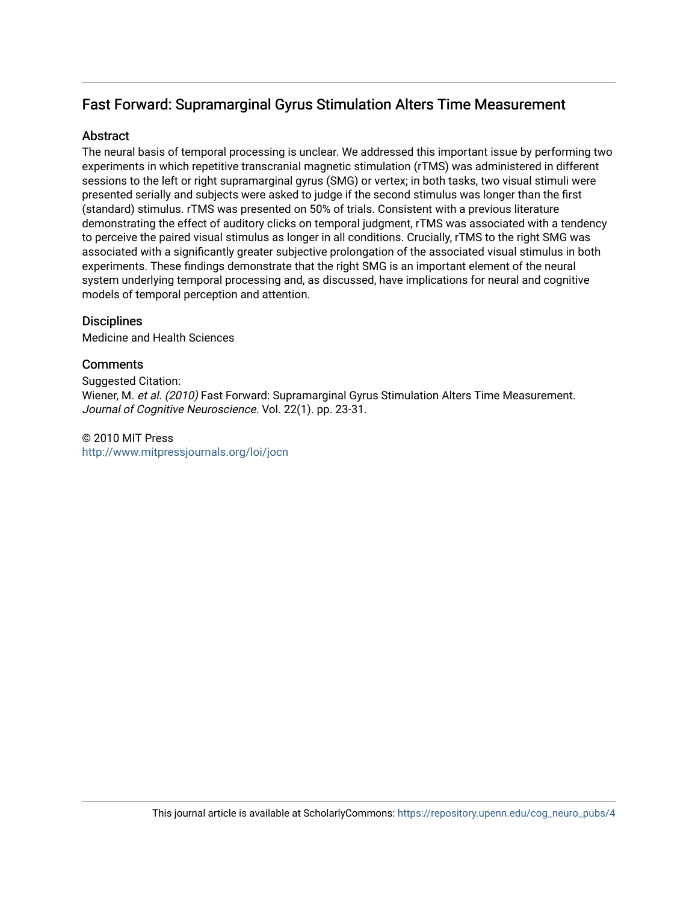# Fast Forward: Supramarginal Gyrus Stimulation Alters Time Measurement

# **Abstract**

The neural basis of temporal processing is unclear. We addressed this important issue by performing two experiments in which repetitive transcranial magnetic stimulation (rTMS) was administered in different sessions to the left or right supramarginal gyrus (SMG) or vertex; in both tasks, two visual stimuli were presented serially and subjects were asked to judge if the second stimulus was longer than the first (standard) stimulus. rTMS was presented on 50% of trials. Consistent with a previous literature demonstrating the effect of auditory clicks on temporal judgment, rTMS was associated with a tendency to perceive the paired visual stimulus as longer in all conditions. Crucially, rTMS to the right SMG was associated with a significantly greater subjective prolongation of the associated visual stimulus in both experiments. These findings demonstrate that the right SMG is an important element of the neural system underlying temporal processing and, as discussed, have implications for neural and cognitive models of temporal perception and attention.

# **Disciplines**

Medicine and Health Sciences

# **Comments**

Suggested Citation: Wiener, M. et al. (2010) Fast Forward: Supramarginal Gyrus Stimulation Alters Time Measurement. Journal of Cognitive Neuroscience. Vol. 22(1). pp. 23-31.

© 2010 MIT Press <http://www.mitpressjournals.org/loi/jocn>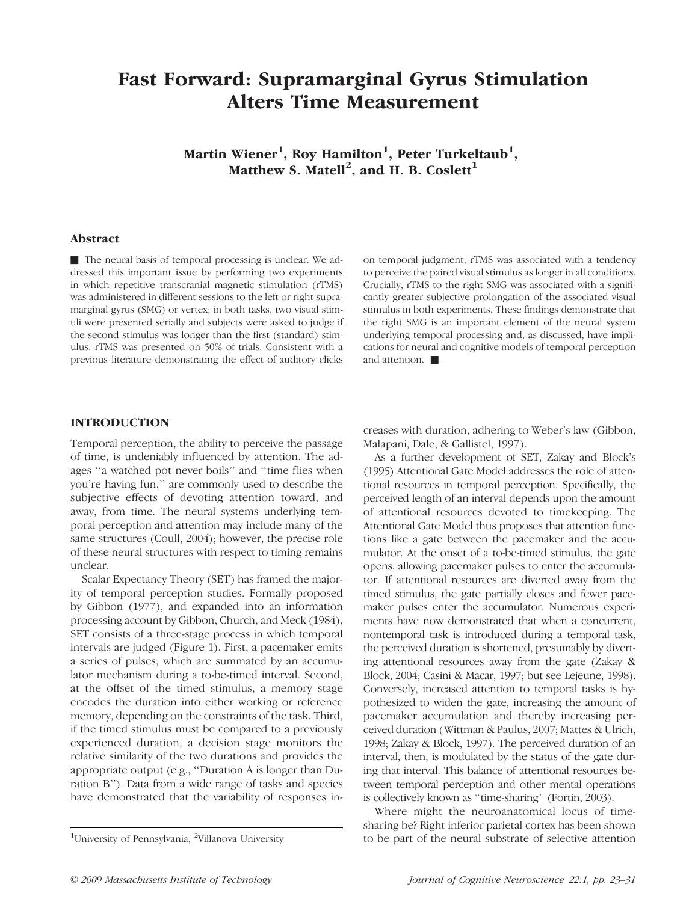# Fast Forward: Supramarginal Gyrus Stimulation Alters Time Measurement

Martin Wiener $^1$ , Roy Hamilton $^1$ , Peter Turkeltaub $^1,$ Matthew S. Matell<sup>2</sup>, and H. B. Coslett<sup>1</sup>

#### Abstract

& The neural basis of temporal processing is unclear. We addressed this important issue by performing two experiments in which repetitive transcranial magnetic stimulation (rTMS) was administered in different sessions to the left or right supramarginal gyrus (SMG) or vertex; in both tasks, two visual stimuli were presented serially and subjects were asked to judge if the second stimulus was longer than the first (standard) stimulus. rTMS was presented on 50% of trials. Consistent with a previous literature demonstrating the effect of auditory clicks on temporal judgment, rTMS was associated with a tendency to perceive the paired visual stimulus as longer in all conditions. Crucially, rTMS to the right SMG was associated with a significantly greater subjective prolongation of the associated visual stimulus in both experiments. These findings demonstrate that the right SMG is an important element of the neural system underlying temporal processing and, as discussed, have implications for neural and cognitive models of temporal perception and attention.  $\blacksquare$ 

### INTRODUCTION

Temporal perception, the ability to perceive the passage of time, is undeniably influenced by attention. The adages ''a watched pot never boils'' and ''time flies when you're having fun,'' are commonly used to describe the subjective effects of devoting attention toward, and away, from time. The neural systems underlying temporal perception and attention may include many of the same structures (Coull, 2004); however, the precise role of these neural structures with respect to timing remains unclear.

Scalar Expectancy Theory (SET) has framed the majority of temporal perception studies. Formally proposed by Gibbon (1977), and expanded into an information processing account by Gibbon, Church, and Meck (1984), SET consists of a three-stage process in which temporal intervals are judged (Figure 1). First, a pacemaker emits a series of pulses, which are summated by an accumulator mechanism during a to-be-timed interval. Second, at the offset of the timed stimulus, a memory stage encodes the duration into either working or reference memory, depending on the constraints of the task. Third, if the timed stimulus must be compared to a previously experienced duration, a decision stage monitors the relative similarity of the two durations and provides the appropriate output (e.g., ''Duration A is longer than Duration B''). Data from a wide range of tasks and species have demonstrated that the variability of responses increases with duration, adhering to Weber's law (Gibbon, Malapani, Dale, & Gallistel, 1997).

As a further development of SET, Zakay and Block's (1995) Attentional Gate Model addresses the role of attentional resources in temporal perception. Specifically, the perceived length of an interval depends upon the amount of attentional resources devoted to timekeeping. The Attentional Gate Model thus proposes that attention functions like a gate between the pacemaker and the accumulator. At the onset of a to-be-timed stimulus, the gate opens, allowing pacemaker pulses to enter the accumulator. If attentional resources are diverted away from the timed stimulus, the gate partially closes and fewer pacemaker pulses enter the accumulator. Numerous experiments have now demonstrated that when a concurrent, nontemporal task is introduced during a temporal task, the perceived duration is shortened, presumably by diverting attentional resources away from the gate (Zakay & Block, 2004; Casini & Macar, 1997; but see Lejeune, 1998). Conversely, increased attention to temporal tasks is hypothesized to widen the gate, increasing the amount of pacemaker accumulation and thereby increasing perceived duration (Wittman & Paulus, 2007; Mattes & Ulrich, 1998; Zakay & Block, 1997). The perceived duration of an interval, then, is modulated by the status of the gate during that interval. This balance of attentional resources between temporal perception and other mental operations is collectively known as ''time-sharing'' (Fortin, 2003).

Where might the neuroanatomical locus of timesharing be? Right inferior parietal cortex has been shown to be part of the neural substrate of selective attention

University of Pennsylvania, <sup>2</sup>Villanova University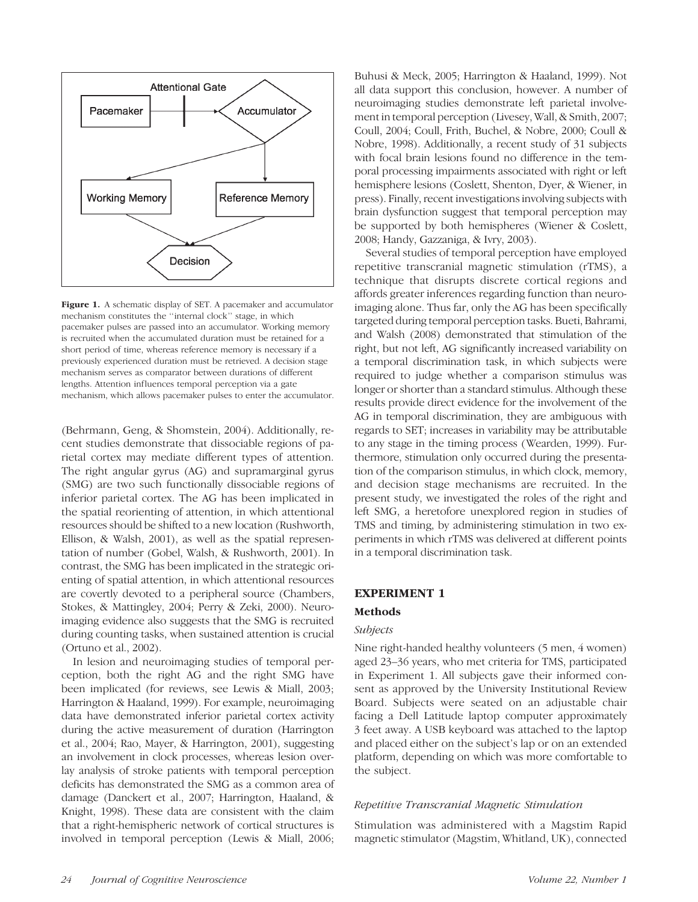

Figure 1. A schematic display of SET. A pacemaker and accumulator mechanism constitutes the ''internal clock'' stage, in which pacemaker pulses are passed into an accumulator. Working memory is recruited when the accumulated duration must be retained for a short period of time, whereas reference memory is necessary if a previously experienced duration must be retrieved. A decision stage mechanism serves as comparator between durations of different lengths. Attention influences temporal perception via a gate mechanism, which allows pacemaker pulses to enter the accumulator.

(Behrmann, Geng, & Shomstein, 2004). Additionally, recent studies demonstrate that dissociable regions of parietal cortex may mediate different types of attention. The right angular gyrus (AG) and supramarginal gyrus (SMG) are two such functionally dissociable regions of inferior parietal cortex. The AG has been implicated in the spatial reorienting of attention, in which attentional resources should be shifted to a new location (Rushworth, Ellison, & Walsh, 2001), as well as the spatial representation of number (Gobel, Walsh, & Rushworth, 2001). In contrast, the SMG has been implicated in the strategic orienting of spatial attention, in which attentional resources are covertly devoted to a peripheral source (Chambers, Stokes, & Mattingley, 2004; Perry & Zeki, 2000). Neuroimaging evidence also suggests that the SMG is recruited during counting tasks, when sustained attention is crucial (Ortuno et al., 2002).

In lesion and neuroimaging studies of temporal perception, both the right AG and the right SMG have been implicated (for reviews, see Lewis & Miall, 2003; Harrington & Haaland, 1999). For example, neuroimaging data have demonstrated inferior parietal cortex activity during the active measurement of duration (Harrington et al., 2004; Rao, Mayer, & Harrington, 2001), suggesting an involvement in clock processes, whereas lesion overlay analysis of stroke patients with temporal perception deficits has demonstrated the SMG as a common area of damage (Danckert et al., 2007; Harrington, Haaland, & Knight, 1998). These data are consistent with the claim that a right-hemispheric network of cortical structures is involved in temporal perception (Lewis & Miall, 2006;

Buhusi & Meck, 2005; Harrington & Haaland, 1999). Not all data support this conclusion, however. A number of neuroimaging studies demonstrate left parietal involvement in temporal perception (Livesey, Wall, & Smith, 2007; Coull, 2004; Coull, Frith, Buchel, & Nobre, 2000; Coull & Nobre, 1998). Additionally, a recent study of 31 subjects with focal brain lesions found no difference in the temporal processing impairments associated with right or left hemisphere lesions (Coslett, Shenton, Dyer, & Wiener, in press). Finally, recent investigations involving subjects with brain dysfunction suggest that temporal perception may be supported by both hemispheres (Wiener & Coslett, 2008; Handy, Gazzaniga, & Ivry, 2003).

Several studies of temporal perception have employed repetitive transcranial magnetic stimulation (rTMS), a technique that disrupts discrete cortical regions and affords greater inferences regarding function than neuroimaging alone. Thus far, only the AG has been specifically targeted during temporal perception tasks. Bueti, Bahrami, and Walsh (2008) demonstrated that stimulation of the right, but not left, AG significantly increased variability on a temporal discrimination task, in which subjects were required to judge whether a comparison stimulus was longer or shorter than a standard stimulus. Although these results provide direct evidence for the involvement of the AG in temporal discrimination, they are ambiguous with regards to SET; increases in variability may be attributable to any stage in the timing process (Wearden, 1999). Furthermore, stimulation only occurred during the presentation of the comparison stimulus, in which clock, memory, and decision stage mechanisms are recruited. In the present study, we investigated the roles of the right and left SMG, a heretofore unexplored region in studies of TMS and timing, by administering stimulation in two experiments in which rTMS was delivered at different points in a temporal discrimination task.

#### EXPERIMENT 1

#### Methods

#### Subjects

Nine right-handed healthy volunteers (5 men, 4 women) aged 23–36 years, who met criteria for TMS, participated in Experiment 1. All subjects gave their informed consent as approved by the University Institutional Review Board. Subjects were seated on an adjustable chair facing a Dell Latitude laptop computer approximately 3 feet away. A USB keyboard was attached to the laptop and placed either on the subject's lap or on an extended platform, depending on which was more comfortable to the subject.

#### Repetitive Transcranial Magnetic Stimulation

Stimulation was administered with a Magstim Rapid magnetic stimulator (Magstim, Whitland, UK), connected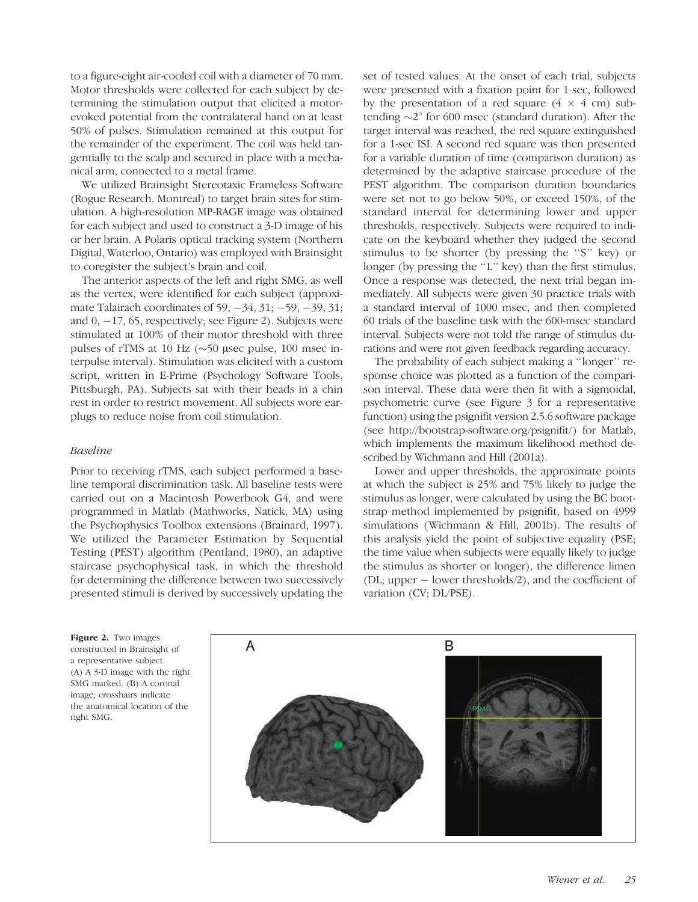to a figure-eight air-cooled coil with a diameter of 70 mm. Motor thresholds were collected for each subject by determining the stimulation output that elicited a motorevoked potential from the contralateral hand on at least 50% of pulses. Stimulation remained at this output for the remainder of the experiment. The coil was held tangentially to the scalp and secured in place with a mechanical arm, connected to a metal frame.

We utilized Brainsight Stereotaxic Frameless Software (Rogue Research, Montreal) to target brain sites for stimulation. A high-resolution MP-RAGE image was obtained for each subject and used to construct a 3-D image of his or her brain. A Polaris optical tracking system (Northern Digital, Waterloo, Ontario) was employed with Brainsight to coregister the subject's brain and coil.

The anterior aspects of the left and right SMG, as well as the vertex, were identified for each subject (approximate Talairach coordinates of 59,  $-34$ , 31;  $-59$ ,  $-39$ , 31; and  $0, -17, 65$ , respectively; see Figure 2). Subjects were stimulated at 100% of their motor threshold with three pulses of rTMS at 10 Hz  $(\sim)$ 50 µsec pulse, 100 msec interpulse interval). Stimulation was elicited with a custom script, written in E-Prime (Psychology Software Tools, Pittsburgh, PA). Subjects sat with their heads in a chin rest in order to restrict movement. All subjects wore earplugs to reduce noise from coil stimulation.

#### Baseline

Prior to receiving rTMS, each subject performed a baseline temporal discrimination task. All baseline tests were carried out on a Macintosh Powerbook G4, and were programmed in Matlab (Mathworks, Natick, MA) using the Psychophysics Toolbox extensions (Brainard, 1997). We utilized the Parameter Estimation by Sequential Testing (PEST) algorithm (Pentland, 1980), an adaptive staircase psychophysical task, in which the threshold for determining the difference between two successively presented stimuli is derived by successively updating the set of tested values. At the onset of each trial, subjects were presented with a fixation point for 1 sec, followed by the presentation of a red square  $(4 \times 4 \text{ cm})$  subtending  $\sim$ 2 $\degree$  for 600 msec (standard duration). After the target interval was reached, the red square extinguished for a 1-sec ISI. A second red square was then presented for a variable duration of time (comparison duration) as determined by the adaptive staircase procedure of the PEST algorithm. The comparison duration boundaries were set not to go below 50%, or exceed 150%, of the standard interval for determining lower and upper thresholds, respectively. Subjects were required to indicate on the keyboard whether they judged the second stimulus to be shorter (by pressing the ''S'' key) or longer (by pressing the "L" key) than the first stimulus. Once a response was detected, the next trial began immediately. All subjects were given 30 practice trials with a standard interval of 1000 msec, and then completed 60 trials of the baseline task with the 600-msec standard interval. Subjects were not told the range of stimulus durations and were not given feedback regarding accuracy.

The probability of each subject making a ''longer'' response choice was plotted as a function of the comparison interval. These data were then fit with a sigmoidal, psychometric curve (see Figure 3 for a representative function) using the psignifit version 2.5.6 software package (see http://bootstrap-software.org/psignifit/) for Matlab, which implements the maximum likelihood method described by Wichmann and Hill (2001a).

Lower and upper thresholds, the approximate points at which the subject is 25% and 75% likely to judge the stimulus as longer, were calculated by using the BC bootstrap method implemented by psignifit, based on 4999 simulations (Wichmann & Hill, 2001b). The results of this analysis yield the point of subjective equality (PSE; the time value when subjects were equally likely to judge the stimulus as shorter or longer), the difference limen (DL; upper  $-$  lower thresholds/2), and the coefficient of variation (CV; DL/PSE).

Figure 2. Two images constructed in Brainsight of a representative subject. (A) A 3-D image with the right SMG marked. (B) A coronal image; crosshairs indicate the anatomical location of the right SMG.

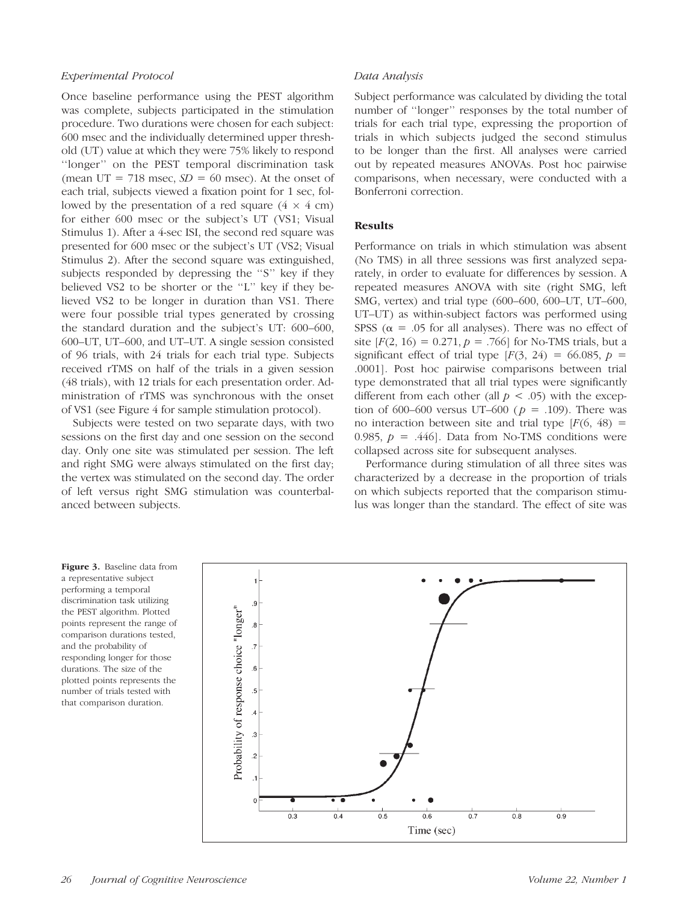#### Experimental Protocol

Once baseline performance using the PEST algorithm was complete, subjects participated in the stimulation procedure. Two durations were chosen for each subject: 600 msec and the individually determined upper threshold (UT) value at which they were 75% likely to respond ''longer'' on the PEST temporal discrimination task (mean UT = 718 msec,  $SD = 60$  msec). At the onset of each trial, subjects viewed a fixation point for 1 sec, followed by the presentation of a red square  $(4 \times 4 \text{ cm})$ for either 600 msec or the subject's UT (VS1; Visual Stimulus 1). After a 4-sec ISI, the second red square was presented for 600 msec or the subject's UT (VS2; Visual Stimulus 2). After the second square was extinguished, subjects responded by depressing the ''S'' key if they believed VS2 to be shorter or the ''L'' key if they believed VS2 to be longer in duration than VS1. There were four possible trial types generated by crossing the standard duration and the subject's UT: 600–600, 600–UT, UT–600, and UT–UT. A single session consisted of 96 trials, with 24 trials for each trial type. Subjects received rTMS on half of the trials in a given session (48 trials), with 12 trials for each presentation order. Administration of rTMS was synchronous with the onset of VS1 (see Figure 4 for sample stimulation protocol).

Subjects were tested on two separate days, with two sessions on the first day and one session on the second day. Only one site was stimulated per session. The left and right SMG were always stimulated on the first day; the vertex was stimulated on the second day. The order of left versus right SMG stimulation was counterbalanced between subjects.

#### Data Analysis

Subject performance was calculated by dividing the total number of ''longer'' responses by the total number of trials for each trial type, expressing the proportion of trials in which subjects judged the second stimulus to be longer than the first. All analyses were carried out by repeated measures ANOVAs. Post hoc pairwise comparisons, when necessary, were conducted with a Bonferroni correction.

#### Results

Performance on trials in which stimulation was absent (No TMS) in all three sessions was first analyzed separately, in order to evaluate for differences by session. A repeated measures ANOVA with site (right SMG, left SMG, vertex) and trial type (600–600, 600–UT, UT–600, UT–UT) as within-subject factors was performed using SPSS ( $\alpha$  = .05 for all analyses). There was no effect of site  $[F(2, 16) = 0.271, p = .766]$  for No-TMS trials, but a significant effect of trial type  $[F(3, 24) = 66.085, p =$ .0001]. Post hoc pairwise comparisons between trial type demonstrated that all trial types were significantly different from each other (all  $p < .05$ ) with the exception of 600–600 versus UT–600 ( $p = .109$ ). There was no interaction between site and trial type  $[F(6, 48) =$ 0.985,  $p = .446$ . Data from No-TMS conditions were collapsed across site for subsequent analyses.

Performance during stimulation of all three sites was characterized by a decrease in the proportion of trials on which subjects reported that the comparison stimulus was longer than the standard. The effect of site was

Figure 3. Baseline data from a representative subject performing a temporal discrimination task utilizing the PEST algorithm. Plotted points represent the range of comparison durations tested, and the probability of responding longer for those durations. The size of the plotted points represents the number of trials tested with that comparison duration.

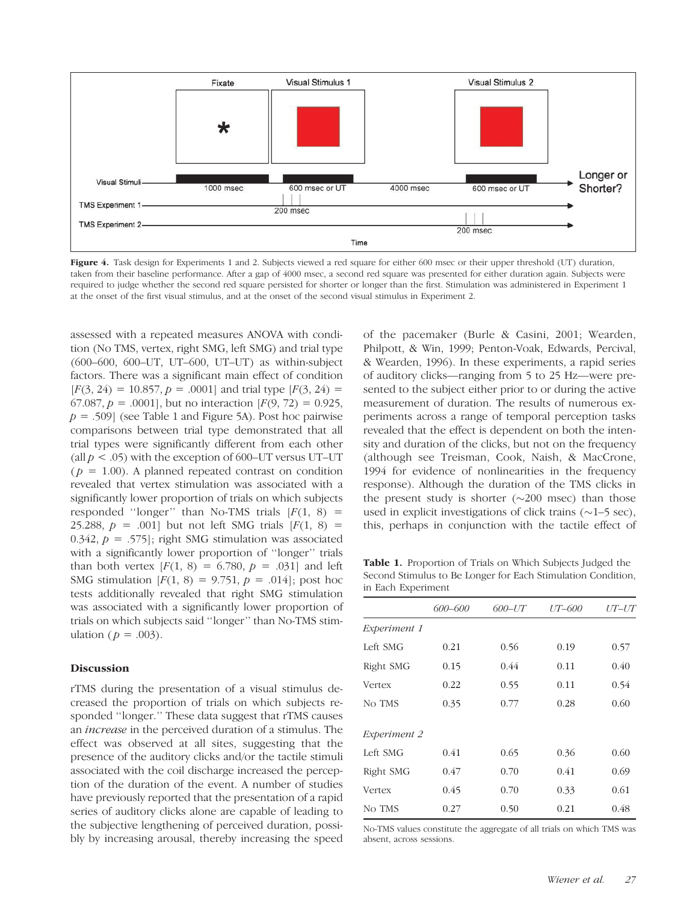

Figure 4. Task design for Experiments 1 and 2. Subjects viewed a red square for either 600 msec or their upper threshold (UT) duration, taken from their baseline performance. After a gap of 4000 msec, a second red square was presented for either duration again. Subjects were required to judge whether the second red square persisted for shorter or longer than the first. Stimulation was administered in Experiment 1 at the onset of the first visual stimulus, and at the onset of the second visual stimulus in Experiment 2.

assessed with a repeated measures ANOVA with condition (No TMS, vertex, right SMG, left SMG) and trial type (600–600, 600–UT, UT–600, UT–UT) as within-subject factors. There was a significant main effect of condition  $[F(3, 24) = 10.857, p = .0001]$  and trial type  $[F(3, 24) =$ 67.087,  $p = .0001$ , but no interaction  $F(9, 72) = 0.925$ ,  $p = .509$  (see Table 1 and Figure 5A). Post hoc pairwise comparisons between trial type demonstrated that all trial types were significantly different from each other (all  $p < .05$ ) with the exception of 600–UT versus UT–UT  $(p = 1.00)$ . A planned repeated contrast on condition revealed that vertex stimulation was associated with a significantly lower proportion of trials on which subjects responded "longer" than No-TMS trials  $[F(1, 8) =$ 25.288,  $p = .001$  but not left SMG trials  $[F(1, 8) =$ 0.342,  $p = .575$ ; right SMG stimulation was associated with a significantly lower proportion of "longer" trials than both vertex  $[F(1, 8) = 6.780, p = .031]$  and left SMG stimulation  $[F(1, 8) = 9.751, p = .014]$ ; post hoc tests additionally revealed that right SMG stimulation was associated with a significantly lower proportion of trials on which subjects said ''longer'' than No-TMS stimulation ( $p = .003$ ).

#### Discussion

rTMS during the presentation of a visual stimulus decreased the proportion of trials on which subjects responded ''longer.'' These data suggest that rTMS causes an increase in the perceived duration of a stimulus. The effect was observed at all sites, suggesting that the presence of the auditory clicks and/or the tactile stimuli associated with the coil discharge increased the perception of the duration of the event. A number of studies have previously reported that the presentation of a rapid series of auditory clicks alone are capable of leading to the subjective lengthening of perceived duration, possibly by increasing arousal, thereby increasing the speed of the pacemaker (Burle & Casini, 2001; Wearden, Philpott, & Win, 1999; Penton-Voak, Edwards, Percival, & Wearden, 1996). In these experiments, a rapid series of auditory clicks—ranging from 5 to 25 Hz—were presented to the subject either prior to or during the active measurement of duration. The results of numerous experiments across a range of temporal perception tasks revealed that the effect is dependent on both the intensity and duration of the clicks, but not on the frequency (although see Treisman, Cook, Naish, & MacCrone, 1994 for evidence of nonlinearities in the frequency response). Although the duration of the TMS clicks in the present study is shorter  $(\sim 200$  msec) than those used in explicit investigations of click trains  $(\sim]1-5 \text{ sec}$ , this, perhaps in conjunction with the tactile effect of

Table 1. Proportion of Trials on Which Subjects Judged the Second Stimulus to Be Longer for Each Stimulation Condition, in Each Experiment

|              | 600-600 | 600–UT | UT-600 | UT–UT |
|--------------|---------|--------|--------|-------|
| Experiment 1 |         |        |        |       |
| Left SMG     | 0.21    | 0.56   | 0.19   | 0.57  |
| Right SMG    | 0.15    | 0.44   | 0.11   | 0.40  |
| Vertex       | 0.22    | 0.55   | 0.11   | 0.54  |
| No TMS       | 0.35    | 0.77   | 0.28   | 0.60  |
| Experiment 2 |         |        |        |       |
| Left SMG     | 0.41    | 0.65   | 0.36   | 0.60  |
| Right SMG    | 0.47    | 0.70   | 0.41   | 0.69  |
| Vertex       | 0.45    | 0.70   | 0.33   | 0.61  |
| No TMS       | 0.27    | 0.50   | 0.21   | 0.48  |

No-TMS values constitute the aggregate of all trials on which TMS was absent, across sessions.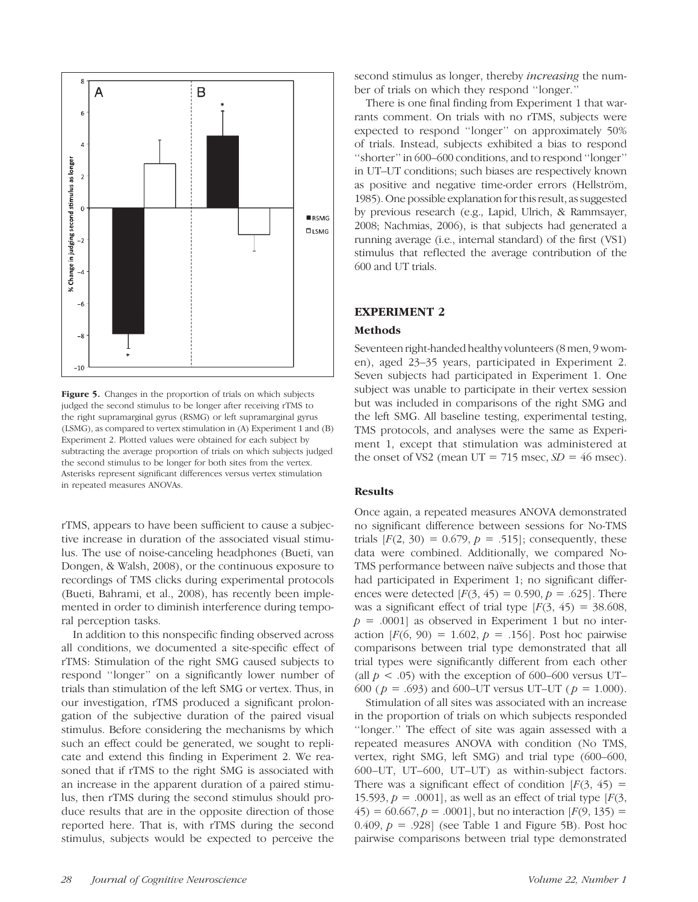

Figure 5. Changes in the proportion of trials on which subjects judged the second stimulus to be longer after receiving rTMS to the right supramarginal gyrus (RSMG) or left supramarginal gyrus (LSMG), as compared to vertex stimulation in (A) Experiment 1 and (B) Experiment 2. Plotted values were obtained for each subject by subtracting the average proportion of trials on which subjects judged the second stimulus to be longer for both sites from the vertex. Asterisks represent significant differences versus vertex stimulation in repeated measures ANOVAs.

rTMS, appears to have been sufficient to cause a subjective increase in duration of the associated visual stimulus. The use of noise-canceling headphones (Bueti, van Dongen, & Walsh, 2008), or the continuous exposure to recordings of TMS clicks during experimental protocols (Bueti, Bahrami, et al., 2008), has recently been implemented in order to diminish interference during temporal perception tasks.

In addition to this nonspecific finding observed across all conditions, we documented a site-specific effect of rTMS: Stimulation of the right SMG caused subjects to respond ''longer'' on a significantly lower number of trials than stimulation of the left SMG or vertex. Thus, in our investigation, rTMS produced a significant prolongation of the subjective duration of the paired visual stimulus. Before considering the mechanisms by which such an effect could be generated, we sought to replicate and extend this finding in Experiment 2. We reasoned that if rTMS to the right SMG is associated with an increase in the apparent duration of a paired stimulus, then rTMS during the second stimulus should produce results that are in the opposite direction of those reported here. That is, with rTMS during the second stimulus, subjects would be expected to perceive the

second stimulus as longer, thereby *increasing* the number of trials on which they respond ''longer.''

There is one final finding from Experiment 1 that warrants comment. On trials with no rTMS, subjects were expected to respond ''longer'' on approximately 50% of trials. Instead, subjects exhibited a bias to respond ''shorter'' in 600–600 conditions, and to respond ''longer'' in UT–UT conditions; such biases are respectively known as positive and negative time-order errors (Hellström, 1985). One possible explanation for this result, as suggested by previous research (e.g., Lapid, Ulrich, & Rammsayer, 2008; Nachmias, 2006), is that subjects had generated a running average (i.e., internal standard) of the first (VS1) stimulus that reflected the average contribution of the 600 and UT trials.

#### EXPERIMENT 2

#### Methods

Seventeen right-handed healthy volunteers (8 men, 9 women), aged 23–35 years, participated in Experiment 2. Seven subjects had participated in Experiment 1. One subject was unable to participate in their vertex session but was included in comparisons of the right SMG and the left SMG. All baseline testing, experimental testing, TMS protocols, and analyses were the same as Experiment 1, except that stimulation was administered at the onset of VS2 (mean UT = 715 msec,  $SD = 46$  msec).

#### Results

Once again, a repeated measures ANOVA demonstrated no significant difference between sessions for No-TMS trials  $[F(2, 30) = 0.679, p = .515]$ ; consequently, these data were combined. Additionally, we compared No-TMS performance between naïve subjects and those that had participated in Experiment 1; no significant differences were detected  $[F(3, 45) = 0.590, p = .625]$ . There was a significant effect of trial type  $[F(3, 45) = 38.608]$ ,  $p = .0001$  as observed in Experiment 1 but no interaction  $[F(6, 90) = 1.602, p = .156]$ . Post hoc pairwise comparisons between trial type demonstrated that all trial types were significantly different from each other (all  $p < .05$ ) with the exception of 600–600 versus UT– 600 ( $p = .693$ ) and 600–UT versus UT–UT ( $p = 1.000$ ).

Stimulation of all sites was associated with an increase in the proportion of trials on which subjects responded ''longer.'' The effect of site was again assessed with a repeated measures ANOVA with condition (No TMS, vertex, right SMG, left SMG) and trial type (600–600, 600–UT, UT–600, UT–UT) as within-subject factors. There was a significant effect of condition  $[F(3, 45) =$ 15.593,  $p = .0001$ , as well as an effect of trial type [ $F(3, 15.593)$ ]  $(45) = 60.667, p = .0001$ , but no interaction  $[F(9, 135) =$ 0.409,  $p = .928$  (see Table 1 and Figure 5B). Post hoc pairwise comparisons between trial type demonstrated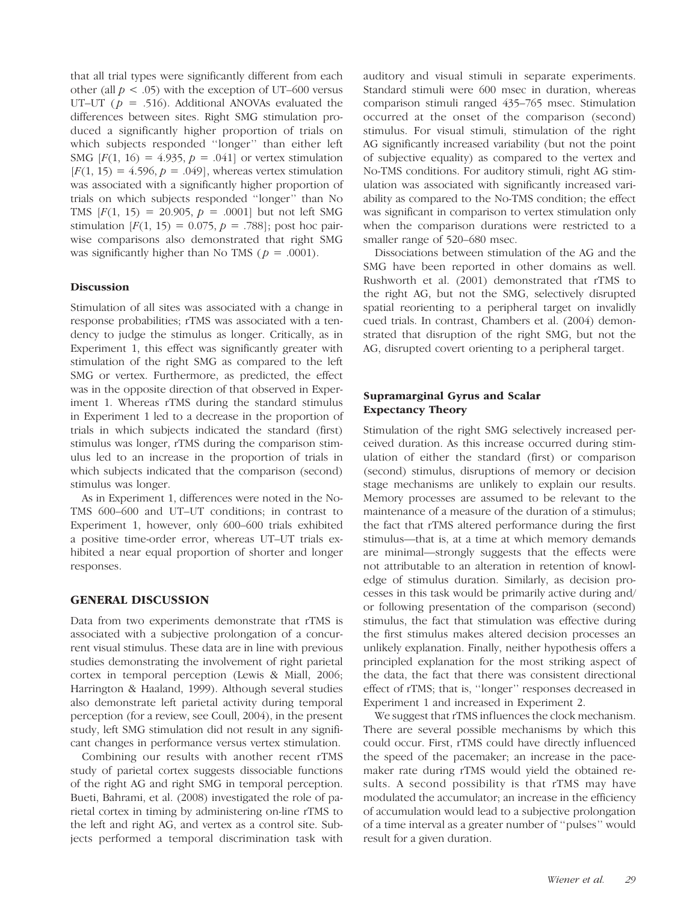that all trial types were significantly different from each other (all  $p < .05$ ) with the exception of UT–600 versus UT–UT ( $p = .516$ ). Additional ANOVAs evaluated the differences between sites. Right SMG stimulation produced a significantly higher proportion of trials on which subjects responded ''longer'' than either left SMG  $[F(1, 16) = 4.935, p = .041]$  or vertex stimulation  $[F(1, 15) = 4.596, p = .049]$ , whereas vertex stimulation was associated with a significantly higher proportion of trials on which subjects responded ''longer'' than No TMS  $[F(1, 15) = 20.905, p = .0001]$  but not left SMG stimulation  $[F(1, 15) = 0.075, p = .788]$ ; post hoc pairwise comparisons also demonstrated that right SMG was significantly higher than No TMS ( $p = .0001$ ).

#### Discussion

Stimulation of all sites was associated with a change in response probabilities; rTMS was associated with a tendency to judge the stimulus as longer. Critically, as in Experiment 1, this effect was significantly greater with stimulation of the right SMG as compared to the left SMG or vertex. Furthermore, as predicted, the effect was in the opposite direction of that observed in Experiment 1. Whereas rTMS during the standard stimulus in Experiment 1 led to a decrease in the proportion of trials in which subjects indicated the standard (first) stimulus was longer, rTMS during the comparison stimulus led to an increase in the proportion of trials in which subjects indicated that the comparison (second) stimulus was longer.

As in Experiment 1, differences were noted in the No-TMS 600–600 and UT–UT conditions; in contrast to Experiment 1, however, only 600–600 trials exhibited a positive time-order error, whereas UT–UT trials exhibited a near equal proportion of shorter and longer responses.

#### GENERAL DISCUSSION

Data from two experiments demonstrate that rTMS is associated with a subjective prolongation of a concurrent visual stimulus. These data are in line with previous studies demonstrating the involvement of right parietal cortex in temporal perception (Lewis & Miall, 2006; Harrington & Haaland, 1999). Although several studies also demonstrate left parietal activity during temporal perception (for a review, see Coull, 2004), in the present study, left SMG stimulation did not result in any significant changes in performance versus vertex stimulation.

Combining our results with another recent rTMS study of parietal cortex suggests dissociable functions of the right AG and right SMG in temporal perception. Bueti, Bahrami, et al. (2008) investigated the role of parietal cortex in timing by administering on-line rTMS to the left and right AG, and vertex as a control site. Subjects performed a temporal discrimination task with auditory and visual stimuli in separate experiments. Standard stimuli were 600 msec in duration, whereas comparison stimuli ranged 435–765 msec. Stimulation occurred at the onset of the comparison (second) stimulus. For visual stimuli, stimulation of the right AG significantly increased variability (but not the point of subjective equality) as compared to the vertex and No-TMS conditions. For auditory stimuli, right AG stimulation was associated with significantly increased variability as compared to the No-TMS condition; the effect was significant in comparison to vertex stimulation only when the comparison durations were restricted to a smaller range of 520–680 msec.

Dissociations between stimulation of the AG and the SMG have been reported in other domains as well. Rushworth et al. (2001) demonstrated that rTMS to the right AG, but not the SMG, selectively disrupted spatial reorienting to a peripheral target on invalidly cued trials. In contrast, Chambers et al. (2004) demonstrated that disruption of the right SMG, but not the AG, disrupted covert orienting to a peripheral target.

#### Supramarginal Gyrus and Scalar Expectancy Theory

Stimulation of the right SMG selectively increased perceived duration. As this increase occurred during stimulation of either the standard (first) or comparison (second) stimulus, disruptions of memory or decision stage mechanisms are unlikely to explain our results. Memory processes are assumed to be relevant to the maintenance of a measure of the duration of a stimulus; the fact that rTMS altered performance during the first stimulus—that is, at a time at which memory demands are minimal—strongly suggests that the effects were not attributable to an alteration in retention of knowledge of stimulus duration. Similarly, as decision processes in this task would be primarily active during and/ or following presentation of the comparison (second) stimulus, the fact that stimulation was effective during the first stimulus makes altered decision processes an unlikely explanation. Finally, neither hypothesis offers a principled explanation for the most striking aspect of the data, the fact that there was consistent directional effect of rTMS; that is, ''longer'' responses decreased in Experiment 1 and increased in Experiment 2.

We suggest that rTMS influences the clock mechanism. There are several possible mechanisms by which this could occur. First, rTMS could have directly influenced the speed of the pacemaker; an increase in the pacemaker rate during rTMS would yield the obtained results. A second possibility is that rTMS may have modulated the accumulator; an increase in the efficiency of accumulation would lead to a subjective prolongation of a time interval as a greater number of ''pulses'' would result for a given duration.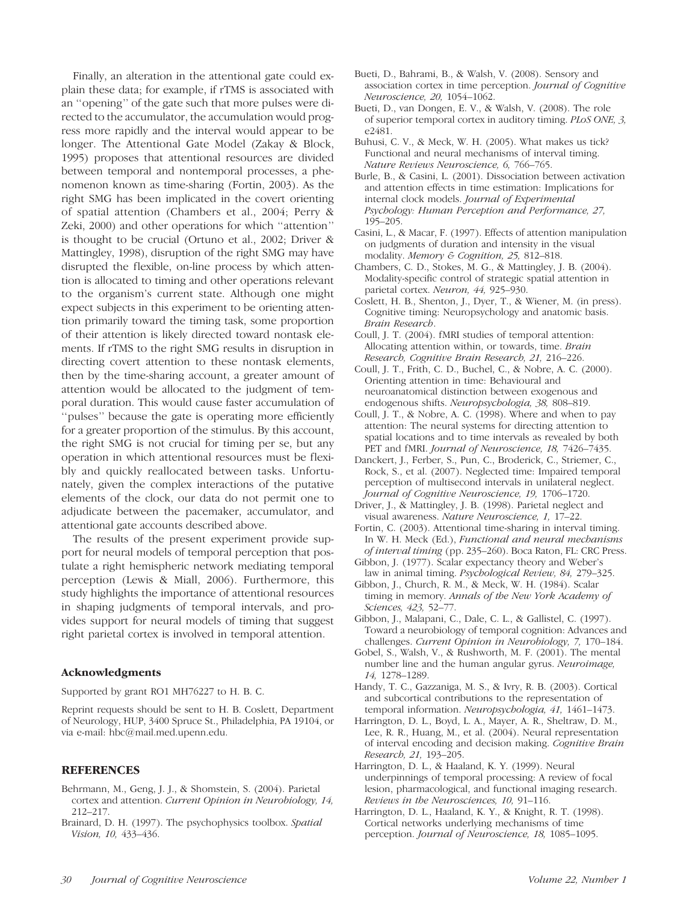an ''opening'' of the gate such that more pulses were directed to the accumulator, the accumulation would progress more rapidly and the interval would appear to be longer. The Attentional Gate Model (Zakay & Block, 1995) proposes that attentional resources are divided between temporal and nontemporal processes, a phenomenon known as time-sharing (Fortin, 2003). As the right SMG has been implicated in the covert orienting of spatial attention (Chambers et al., 2004; Perry & Zeki, 2000) and other operations for which ''attention'' is thought to be crucial (Ortuno et al., 2002; Driver & Mattingley, 1998), disruption of the right SMG may have disrupted the flexible, on-line process by which attention is allocated to timing and other operations relevant to the organism's current state. Although one might expect subjects in this experiment to be orienting attention primarily toward the timing task, some proportion of their attention is likely directed toward nontask elements. If rTMS to the right SMG results in disruption in directing covert attention to these nontask elements, then by the time-sharing account, a greater amount of attention would be allocated to the judgment of temporal duration. This would cause faster accumulation of ''pulses'' because the gate is operating more efficiently for a greater proportion of the stimulus. By this account, the right SMG is not crucial for timing per se, but any operation in which attentional resources must be flexibly and quickly reallocated between tasks. Unfortunately, given the complex interactions of the putative elements of the clock, our data do not permit one to adjudicate between the pacemaker, accumulator, and attentional gate accounts described above. The results of the present experiment provide support for neural models of temporal perception that postulate a right hemispheric network mediating temporal perception (Lewis & Miall, 2006). Furthermore, this study highlights the importance of attentional resources in shaping judgments of temporal intervals, and provides support for neural models of timing that suggest

Finally, an alteration in the attentional gate could explain these data; for example, if rTMS is associated with

#### Acknowledgments

Supported by grant RO1 MH76227 to H. B. C.

Reprint requests should be sent to H. B. Coslett, Department of Neurology, HUP, 3400 Spruce St., Philadelphia, PA 19104, or via e-mail: hbc@mail.med.upenn.edu.

right parietal cortex is involved in temporal attention.

#### **REFERENCES**

- Behrmann, M., Geng, J. J., & Shomstein, S. (2004). Parietal cortex and attention. Current Opinion in Neurobiology, 14, 212–217.
- Brainard, D. H. (1997). The psychophysics toolbox. Spatial Vision, 10, 433–436.
- Bueti, D., Bahrami, B., & Walsh, V. (2008). Sensory and association cortex in time perception. Journal of Cognitive Neuroscience, 20, 1054–1062.
- Bueti, D., van Dongen, E. V., & Walsh, V. (2008). The role of superior temporal cortex in auditory timing. PLoS ONE, 3, e2481.
- Buhusi, C. V., & Meck, W. H. (2005). What makes us tick? Functional and neural mechanisms of interval timing. Nature Reviews Neuroscience, 6, 766–765.
- Burle, B., & Casini, L. (2001). Dissociation between activation and attention effects in time estimation: Implications for internal clock models. Journal of Experimental Psychology: Human Perception and Performance, 27, 195–205.
- Casini, L., & Macar, F. (1997). Effects of attention manipulation on judgments of duration and intensity in the visual modality. Memory & Cognition, 25, 812-818.
- Chambers, C. D., Stokes, M. G., & Mattingley, J. B. (2004). Modality-specific control of strategic spatial attention in parietal cortex. Neuron, 44, 925–930.
- Coslett, H. B., Shenton, J., Dyer, T., & Wiener, M. (in press). Cognitive timing: Neuropsychology and anatomic basis. Brain Research.
- Coull, J. T. (2004). fMRI studies of temporal attention: Allocating attention within, or towards, time. Brain Research, Cognitive Brain Research, 21, 216–226.
- Coull, J. T., Frith, C. D., Buchel, C., & Nobre, A. C. (2000). Orienting attention in time: Behavioural and neuroanatomical distinction between exogenous and endogenous shifts. Neuropsychologia, 38, 808–819.
- Coull, J. T., & Nobre, A. C. (1998). Where and when to pay attention: The neural systems for directing attention to spatial locations and to time intervals as revealed by both PET and fMRI. Journal of Neuroscience, 18, 7426–7435.
- Danckert, J., Ferber, S., Pun, C., Broderick, C., Striemer, C., Rock, S., et al. (2007). Neglected time: Impaired temporal perception of multisecond intervals in unilateral neglect. Journal of Cognitive Neuroscience, 19, 1706–1720.
- Driver, J., & Mattingley, J. B. (1998). Parietal neglect and visual awareness. Nature Neuroscience, 1, 17–22.
- Fortin, C. (2003). Attentional time-sharing in interval timing. In W. H. Meck (Ed.), Functional and neural mechanisms of interval timing (pp. 235–260). Boca Raton, FL: CRC Press.
- Gibbon, J. (1977). Scalar expectancy theory and Weber's law in animal timing. Psychological Review, 84, 279–325.
- Gibbon, J., Church, R. M., & Meck, W. H. (1984). Scalar timing in memory. Annals of the New York Academy of Sciences, 423, 52–77.
- Gibbon, J., Malapani, C., Dale, C. L., & Gallistel, C. (1997). Toward a neurobiology of temporal cognition: Advances and challenges. Current Opinion in Neurobiology, 7, 170–184.
- Gobel, S., Walsh, V., & Rushworth, M. F. (2001). The mental number line and the human angular gyrus. Neuroimage, 14, 1278–1289.
- Handy, T. C., Gazzaniga, M. S., & Ivry, R. B. (2003). Cortical and subcortical contributions to the representation of temporal information. Neuropsychologia, 41, 1461–1473.
- Harrington, D. L., Boyd, L. A., Mayer, A. R., Sheltraw, D. M., Lee, R. R., Huang, M., et al. (2004). Neural representation of interval encoding and decision making. Cognitive Brain Research, 21, 193–205.
- Harrington, D. L., & Haaland, K. Y. (1999). Neural underpinnings of temporal processing: A review of focal lesion, pharmacological, and functional imaging research. Reviews in the Neurosciences, 10, 91–116.
- Harrington, D. L., Haaland, K. Y., & Knight, R. T. (1998). Cortical networks underlying mechanisms of time perception. Journal of Neuroscience, 18, 1085–1095.